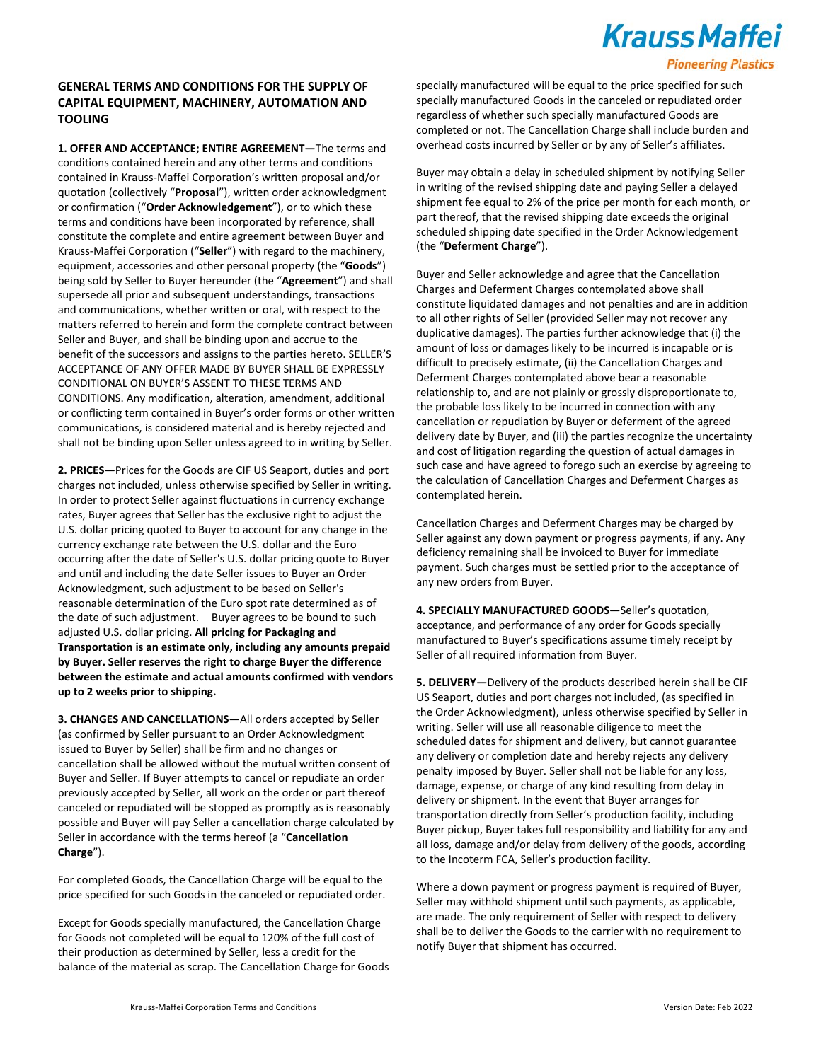# **Krauss Maffei**

#### **Pioneering Plastics**

### **GENERAL TERMS AND CONDITIONS FOR THE SUPPLY OF CAPITAL EQUIPMENT, MACHINERY, AUTOMATION AND TOOLING**

**1. OFFER AND ACCEPTANCE; ENTIRE AGREEMENT—**The terms and conditions contained herein and any other terms and conditions contained in Krauss-Maffei Corporation's written proposal and/or quotation (collectively "**Proposal**"), written order acknowledgment or confirmation ("**Order Acknowledgement**"), or to which these terms and conditions have been incorporated by reference, shall constitute the complete and entire agreement between Buyer and Krauss-Maffei Corporation ("**Seller**") with regard to the machinery, equipment, accessories and other personal property (the "**Goods**") being sold by Seller to Buyer hereunder (the "**Agreement**") and shall supersede all prior and subsequent understandings, transactions and communications, whether written or oral, with respect to the matters referred to herein and form the complete contract between Seller and Buyer, and shall be binding upon and accrue to the benefit of the successors and assigns to the parties hereto. SELLER'S ACCEPTANCE OF ANY OFFER MADE BY BUYER SHALL BE EXPRESSLY CONDITIONAL ON BUYER'S ASSENT TO THESE TERMS AND CONDITIONS. Any modification, alteration, amendment, additional or conflicting term contained in Buyer's order forms or other written communications, is considered material and is hereby rejected and shall not be binding upon Seller unless agreed to in writing by Seller.

**2. PRICES—**Prices for the Goods are CIF US Seaport, duties and port charges not included, unless otherwise specified by Seller in writing. In order to protect Seller against fluctuations in currency exchange rates, Buyer agrees that Seller has the exclusive right to adjust the U.S. dollar pricing quoted to Buyer to account for any change in the currency exchange rate between the U.S. dollar and the Euro occurring after the date of Seller's U.S. dollar pricing quote to Buyer and until and including the date Seller issues to Buyer an Order Acknowledgment, such adjustment to be based on Seller's reasonable determination of the Euro spot rate determined as of the date of such adjustment. Buyer agrees to be bound to such adjusted U.S. dollar pricing. **All pricing for Packaging and Transportation is an estimate only, including any amounts prepaid by Buyer. Seller reserves the right to charge Buyer the difference between the estimate and actual amounts confirmed with vendors up to 2 weeks prior to shipping.**

**3. CHANGES AND CANCELLATIONS—**All orders accepted by Seller (as confirmed by Seller pursuant to an Order Acknowledgment issued to Buyer by Seller) shall be firm and no changes or cancellation shall be allowed without the mutual written consent of Buyer and Seller. If Buyer attempts to cancel or repudiate an order previously accepted by Seller, all work on the order or part thereof canceled or repudiated will be stopped as promptly as is reasonably possible and Buyer will pay Seller a cancellation charge calculated by Seller in accordance with the terms hereof (a "**Cancellation Charge**").

For completed Goods, the Cancellation Charge will be equal to the price specified for such Goods in the canceled or repudiated order.

Except for Goods specially manufactured, the Cancellation Charge for Goods not completed will be equal to 120% of the full cost of their production as determined by Seller, less a credit for the balance of the material as scrap. The Cancellation Charge for Goods specially manufactured will be equal to the price specified for such specially manufactured Goods in the canceled or repudiated order regardless of whether such specially manufactured Goods are completed or not. The Cancellation Charge shall include burden and overhead costs incurred by Seller or by any of Seller's affiliates.

Buyer may obtain a delay in scheduled shipment by notifying Seller in writing of the revised shipping date and paying Seller a delayed shipment fee equal to 2% of the price per month for each month, or part thereof, that the revised shipping date exceeds the original scheduled shipping date specified in the Order Acknowledgement (the "**Deferment Charge**").

Buyer and Seller acknowledge and agree that the Cancellation Charges and Deferment Charges contemplated above shall constitute liquidated damages and not penalties and are in addition to all other rights of Seller (provided Seller may not recover any duplicative damages). The parties further acknowledge that (i) the amount of loss or damages likely to be incurred is incapable or is difficult to precisely estimate, (ii) the Cancellation Charges and Deferment Charges contemplated above bear a reasonable relationship to, and are not plainly or grossly disproportionate to, the probable loss likely to be incurred in connection with any cancellation or repudiation by Buyer or deferment of the agreed delivery date by Buyer, and (iii) the parties recognize the uncertainty and cost of litigation regarding the question of actual damages in such case and have agreed to forego such an exercise by agreeing to the calculation of Cancellation Charges and Deferment Charges as contemplated herein.

Cancellation Charges and Deferment Charges may be charged by Seller against any down payment or progress payments, if any. Any deficiency remaining shall be invoiced to Buyer for immediate payment. Such charges must be settled prior to the acceptance of any new orders from Buyer.

**4. SPECIALLY MANUFACTURED GOODS—**Seller's quotation, acceptance, and performance of any order for Goods specially manufactured to Buyer's specifications assume timely receipt by Seller of all required information from Buyer.

**5. DELIVERY—**Delivery of the products described herein shall be CIF US Seaport, duties and port charges not included, (as specified in the Order Acknowledgment), unless otherwise specified by Seller in writing. Seller will use all reasonable diligence to meet the scheduled dates for shipment and delivery, but cannot guarantee any delivery or completion date and hereby rejects any delivery penalty imposed by Buyer. Seller shall not be liable for any loss, damage, expense, or charge of any kind resulting from delay in delivery or shipment. In the event that Buyer arranges for transportation directly from Seller's production facility, including Buyer pickup, Buyer takes full responsibility and liability for any and all loss, damage and/or delay from delivery of the goods, according to the Incoterm FCA, Seller's production facility.

Where a down payment or progress payment is required of Buyer, Seller may withhold shipment until such payments, as applicable, are made. The only requirement of Seller with respect to delivery shall be to deliver the Goods to the carrier with no requirement to notify Buyer that shipment has occurred.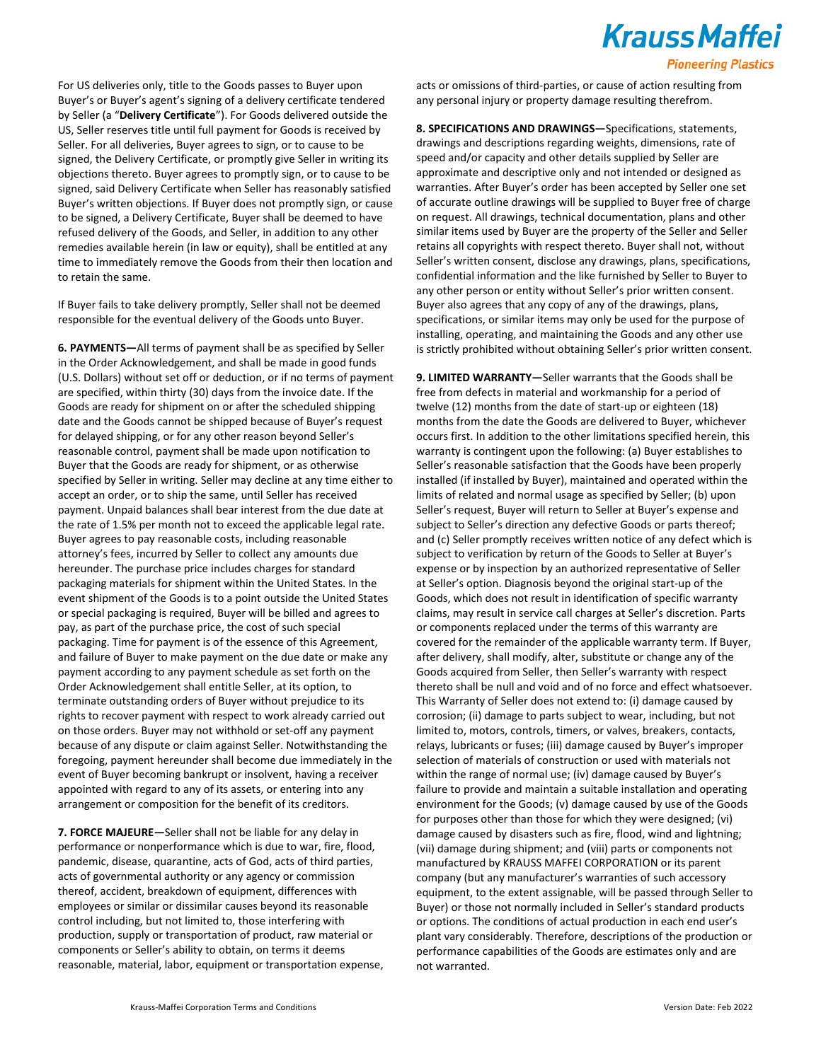### **Krauss Maffei**

#### **Pioneering Plastics**

For US deliveries only, title to the Goods passes to Buyer upon Buyer's or Buyer's agent's signing of a delivery certificate tendered by Seller (a "**Delivery Certificate**"). For Goods delivered outside the US, Seller reserves title until full payment for Goods is received by Seller. For all deliveries, Buyer agrees to sign, or to cause to be signed, the Delivery Certificate, or promptly give Seller in writing its objections thereto. Buyer agrees to promptly sign, or to cause to be signed, said Delivery Certificate when Seller has reasonably satisfied Buyer's written objections. If Buyer does not promptly sign, or cause to be signed, a Delivery Certificate, Buyer shall be deemed to have refused delivery of the Goods, and Seller, in addition to any other remedies available herein (in law or equity), shall be entitled at any time to immediately remove the Goods from their then location and to retain the same.

If Buyer fails to take delivery promptly, Seller shall not be deemed responsible for the eventual delivery of the Goods unto Buyer.

**6. PAYMENTS—**All terms of payment shall be as specified by Seller in the Order Acknowledgement, and shall be made in good funds (U.S. Dollars) without set off or deduction, or if no terms of payment are specified, within thirty (30) days from the invoice date. If the Goods are ready for shipment on or after the scheduled shipping date and the Goods cannot be shipped because of Buyer's request for delayed shipping, or for any other reason beyond Seller's reasonable control, payment shall be made upon notification to Buyer that the Goods are ready for shipment, or as otherwise specified by Seller in writing. Seller may decline at any time either to accept an order, or to ship the same, until Seller has received payment. Unpaid balances shall bear interest from the due date at the rate of 1.5% per month not to exceed the applicable legal rate. Buyer agrees to pay reasonable costs, including reasonable attorney's fees, incurred by Seller to collect any amounts due hereunder. The purchase price includes charges for standard packaging materials for shipment within the United States. In the event shipment of the Goods is to a point outside the United States or special packaging is required, Buyer will be billed and agrees to pay, as part of the purchase price, the cost of such special packaging. Time for payment is of the essence of this Agreement, and failure of Buyer to make payment on the due date or make any payment according to any payment schedule as set forth on the Order Acknowledgement shall entitle Seller, at its option, to terminate outstanding orders of Buyer without prejudice to its rights to recover payment with respect to work already carried out on those orders. Buyer may not withhold or set-off any payment because of any dispute or claim against Seller. Notwithstanding the foregoing, payment hereunder shall become due immediately in the event of Buyer becoming bankrupt or insolvent, having a receiver appointed with regard to any of its assets, or entering into any arrangement or composition for the benefit of its creditors.

**7. FORCE MAJEURE—**Seller shall not be liable for any delay in performance or nonperformance which is due to war, fire, flood, pandemic, disease, quarantine, acts of God, acts of third parties, acts of governmental authority or any agency or commission thereof, accident, breakdown of equipment, differences with employees or similar or dissimilar causes beyond its reasonable control including, but not limited to, those interfering with production, supply or transportation of product, raw material or components or Seller's ability to obtain, on terms it deems reasonable, material, labor, equipment or transportation expense, acts or omissions of third-parties, or cause of action resulting from any personal injury or property damage resulting therefrom.

**8. SPECIFICATIONS AND DRAWINGS—**Specifications, statements, drawings and descriptions regarding weights, dimensions, rate of speed and/or capacity and other details supplied by Seller are approximate and descriptive only and not intended or designed as warranties. After Buyer's order has been accepted by Seller one set of accurate outline drawings will be supplied to Buyer free of charge on request. All drawings, technical documentation, plans and other similar items used by Buyer are the property of the Seller and Seller retains all copyrights with respect thereto. Buyer shall not, without Seller's written consent, disclose any drawings, plans, specifications, confidential information and the like furnished by Seller to Buyer to any other person or entity without Seller's prior written consent. Buyer also agrees that any copy of any of the drawings, plans, specifications, or similar items may only be used for the purpose of installing, operating, and maintaining the Goods and any other use is strictly prohibited without obtaining Seller's prior written consent.

**9. LIMITED WARRANTY—**Seller warrants that the Goods shall be free from defects in material and workmanship for a period of twelve (12) months from the date of start-up or eighteen (18) months from the date the Goods are delivered to Buyer, whichever occurs first. In addition to the other limitations specified herein, this warranty is contingent upon the following: (a) Buyer establishes to Seller's reasonable satisfaction that the Goods have been properly installed (if installed by Buyer), maintained and operated within the limits of related and normal usage as specified by Seller; (b) upon Seller's request, Buyer will return to Seller at Buyer's expense and subject to Seller's direction any defective Goods or parts thereof; and (c) Seller promptly receives written notice of any defect which is subject to verification by return of the Goods to Seller at Buyer's expense or by inspection by an authorized representative of Seller at Seller's option. Diagnosis beyond the original start-up of the Goods, which does not result in identification of specific warranty claims, may result in service call charges at Seller's discretion. Parts or components replaced under the terms of this warranty are covered for the remainder of the applicable warranty term. If Buyer, after delivery, shall modify, alter, substitute or change any of the Goods acquired from Seller, then Seller's warranty with respect thereto shall be null and void and of no force and effect whatsoever. This Warranty of Seller does not extend to: (i) damage caused by corrosion; (ii) damage to parts subject to wear, including, but not limited to, motors, controls, timers, or valves, breakers, contacts, relays, lubricants or fuses; (iii) damage caused by Buyer's improper selection of materials of construction or used with materials not within the range of normal use; (iv) damage caused by Buyer's failure to provide and maintain a suitable installation and operating environment for the Goods; (v) damage caused by use of the Goods for purposes other than those for which they were designed; (vi) damage caused by disasters such as fire, flood, wind and lightning; (vii) damage during shipment; and (viii) parts or components not manufactured by KRAUSS MAFFEI CORPORATION or its parent company (but any manufacturer's warranties of such accessory equipment, to the extent assignable, will be passed through Seller to Buyer) or those not normally included in Seller's standard products or options. The conditions of actual production in each end user's plant vary considerably. Therefore, descriptions of the production or performance capabilities of the Goods are estimates only and are not warranted.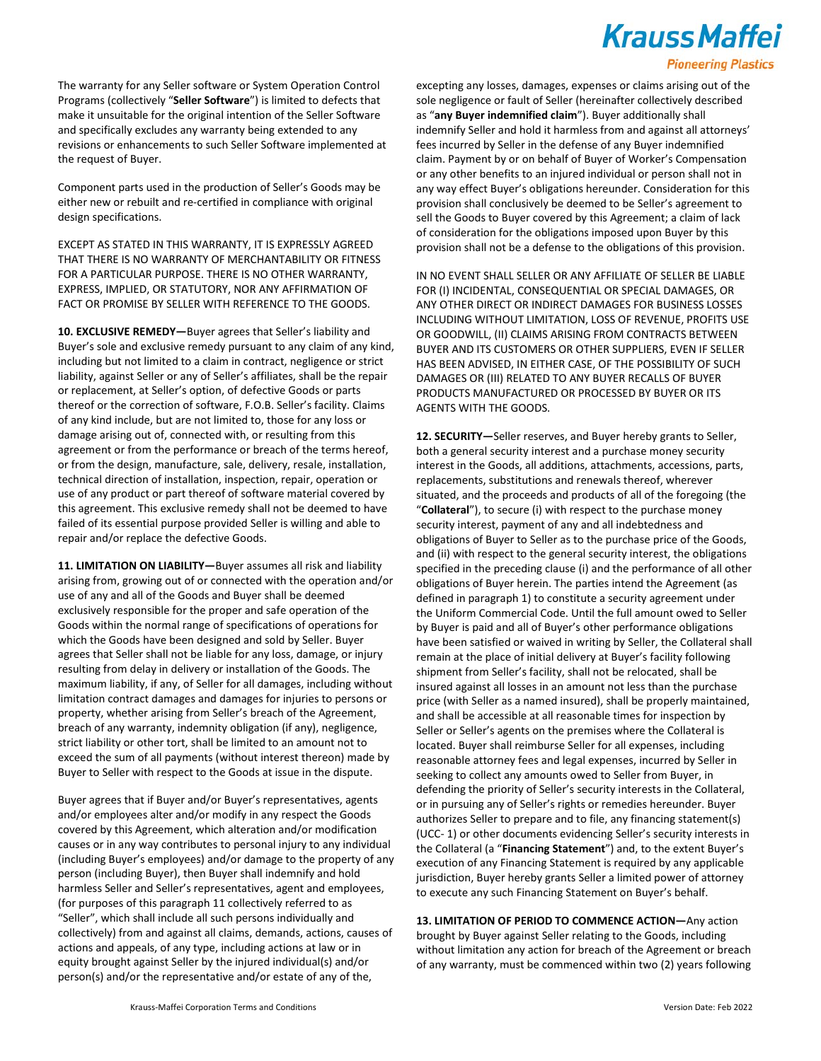## **Krauss Maffei**

#### **Pioneering Plastics**

The warranty for any Seller software or System Operation Control Programs (collectively "**Seller Software**") is limited to defects that make it unsuitable for the original intention of the Seller Software and specifically excludes any warranty being extended to any revisions or enhancements to such Seller Software implemented at the request of Buyer.

Component parts used in the production of Seller's Goods may be either new or rebuilt and re-certified in compliance with original design specifications.

EXCEPT AS STATED IN THIS WARRANTY, IT IS EXPRESSLY AGREED THAT THERE IS NO WARRANTY OF MERCHANTABILITY OR FITNESS FOR A PARTICULAR PURPOSE. THERE IS NO OTHER WARRANTY, EXPRESS, IMPLIED, OR STATUTORY, NOR ANY AFFIRMATION OF FACT OR PROMISE BY SELLER WITH REFERENCE TO THE GOODS.

**10. EXCLUSIVE REMEDY—**Buyer agrees that Seller's liability and Buyer's sole and exclusive remedy pursuant to any claim of any kind, including but not limited to a claim in contract, negligence or strict liability, against Seller or any of Seller's affiliates, shall be the repair or replacement, at Seller's option, of defective Goods or parts thereof or the correction of software, F.O.B. Seller's facility. Claims of any kind include, but are not limited to, those for any loss or damage arising out of, connected with, or resulting from this agreement or from the performance or breach of the terms hereof, or from the design, manufacture, sale, delivery, resale, installation, technical direction of installation, inspection, repair, operation or use of any product or part thereof of software material covered by this agreement. This exclusive remedy shall not be deemed to have failed of its essential purpose provided Seller is willing and able to repair and/or replace the defective Goods.

**11. LIMITATION ON LIABILITY—**Buyer assumes all risk and liability arising from, growing out of or connected with the operation and/or use of any and all of the Goods and Buyer shall be deemed exclusively responsible for the proper and safe operation of the Goods within the normal range of specifications of operations for which the Goods have been designed and sold by Seller. Buyer agrees that Seller shall not be liable for any loss, damage, or injury resulting from delay in delivery or installation of the Goods. The maximum liability, if any, of Seller for all damages, including without limitation contract damages and damages for injuries to persons or property, whether arising from Seller's breach of the Agreement, breach of any warranty, indemnity obligation (if any), negligence, strict liability or other tort, shall be limited to an amount not to exceed the sum of all payments (without interest thereon) made by Buyer to Seller with respect to the Goods at issue in the dispute.

Buyer agrees that if Buyer and/or Buyer's representatives, agents and/or employees alter and/or modify in any respect the Goods covered by this Agreement, which alteration and/or modification causes or in any way contributes to personal injury to any individual (including Buyer's employees) and/or damage to the property of any person (including Buyer), then Buyer shall indemnify and hold harmless Seller and Seller's representatives, agent and employees, (for purposes of this paragraph 11 collectively referred to as "Seller", which shall include all such persons individually and collectively) from and against all claims, demands, actions, causes of actions and appeals, of any type, including actions at law or in equity brought against Seller by the injured individual(s) and/or person(s) and/or the representative and/or estate of any of the,

excepting any losses, damages, expenses or claims arising out of the sole negligence or fault of Seller (hereinafter collectively described as "**any Buyer indemnified claim**"). Buyer additionally shall indemnify Seller and hold it harmless from and against all attorneys' fees incurred by Seller in the defense of any Buyer indemnified claim. Payment by or on behalf of Buyer of Worker's Compensation or any other benefits to an injured individual or person shall not in any way effect Buyer's obligations hereunder. Consideration for this provision shall conclusively be deemed to be Seller's agreement to sell the Goods to Buyer covered by this Agreement; a claim of lack of consideration for the obligations imposed upon Buyer by this provision shall not be a defense to the obligations of this provision.

IN NO EVENT SHALL SELLER OR ANY AFFILIATE OF SELLER BE LIABLE FOR (I) INCIDENTAL, CONSEQUENTIAL OR SPECIAL DAMAGES, OR ANY OTHER DIRECT OR INDIRECT DAMAGES FOR BUSINESS LOSSES INCLUDING WITHOUT LIMITATION, LOSS OF REVENUE, PROFITS USE OR GOODWILL, (II) CLAIMS ARISING FROM CONTRACTS BETWEEN BUYER AND ITS CUSTOMERS OR OTHER SUPPLIERS, EVEN IF SELLER HAS BEEN ADVISED, IN EITHER CASE, OF THE POSSIBILITY OF SUCH DAMAGES OR (III) RELATED TO ANY BUYER RECALLS OF BUYER PRODUCTS MANUFACTURED OR PROCESSED BY BUYER OR ITS AGENTS WITH THE GOODS.

**12. SECURITY—**Seller reserves, and Buyer hereby grants to Seller, both a general security interest and a purchase money security interest in the Goods, all additions, attachments, accessions, parts, replacements, substitutions and renewals thereof, wherever situated, and the proceeds and products of all of the foregoing (the "**Collateral**"), to secure (i) with respect to the purchase money security interest, payment of any and all indebtedness and obligations of Buyer to Seller as to the purchase price of the Goods, and (ii) with respect to the general security interest, the obligations specified in the preceding clause (i) and the performance of all other obligations of Buyer herein. The parties intend the Agreement (as defined in paragraph 1) to constitute a security agreement under the Uniform Commercial Code. Until the full amount owed to Seller by Buyer is paid and all of Buyer's other performance obligations have been satisfied or waived in writing by Seller, the Collateral shall remain at the place of initial delivery at Buyer's facility following shipment from Seller's facility, shall not be relocated, shall be insured against all losses in an amount not less than the purchase price (with Seller as a named insured), shall be properly maintained, and shall be accessible at all reasonable times for inspection by Seller or Seller's agents on the premises where the Collateral is located. Buyer shall reimburse Seller for all expenses, including reasonable attorney fees and legal expenses, incurred by Seller in seeking to collect any amounts owed to Seller from Buyer, in defending the priority of Seller's security interests in the Collateral, or in pursuing any of Seller's rights or remedies hereunder. Buyer authorizes Seller to prepare and to file, any financing statement(s) (UCC- 1) or other documents evidencing Seller's security interests in the Collateral (a "**Financing Statement**") and, to the extent Buyer's execution of any Financing Statement is required by any applicable jurisdiction, Buyer hereby grants Seller a limited power of attorney to execute any such Financing Statement on Buyer's behalf.

**13. LIMITATION OF PERIOD TO COMMENCE ACTION—**Any action brought by Buyer against Seller relating to the Goods, including without limitation any action for breach of the Agreement or breach of any warranty, must be commenced within two (2) years following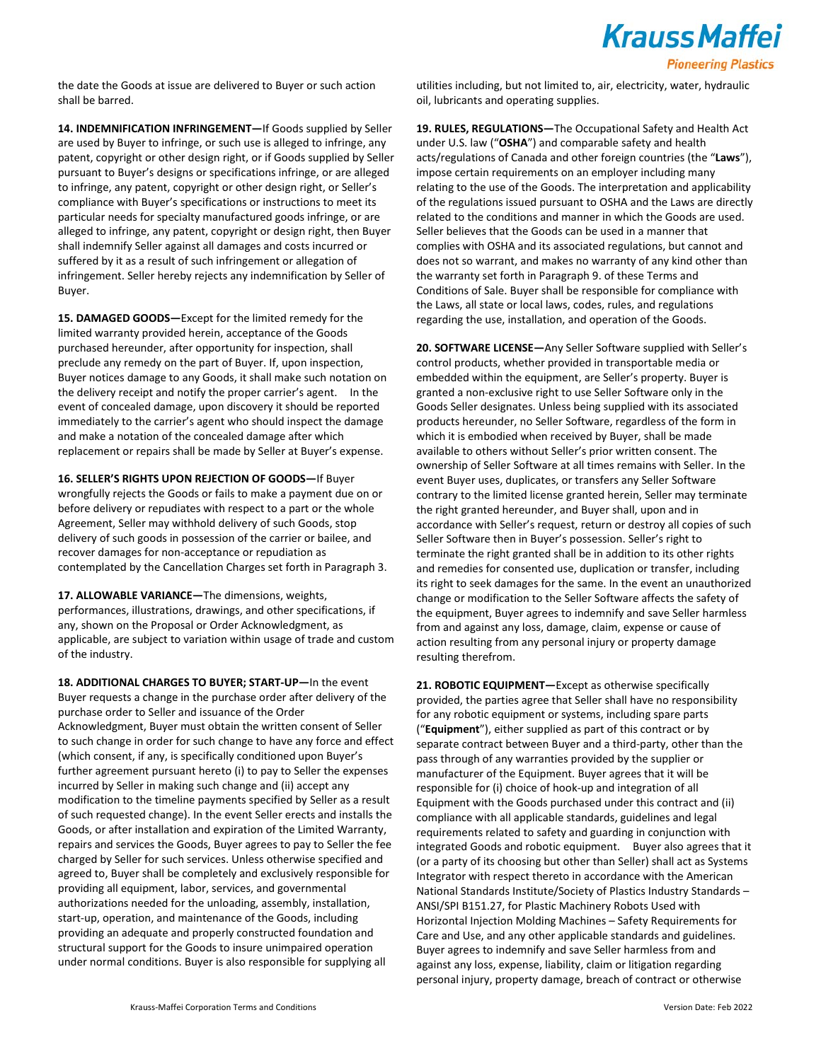

the date the Goods at issue are delivered to Buyer or such action shall be barred.

**14. INDEMNIFICATION INFRINGEMENT—**If Goods supplied by Seller are used by Buyer to infringe, or such use is alleged to infringe, any patent, copyright or other design right, or if Goods supplied by Seller pursuant to Buyer's designs or specifications infringe, or are alleged to infringe, any patent, copyright or other design right, or Seller's compliance with Buyer's specifications or instructions to meet its particular needs for specialty manufactured goods infringe, or are alleged to infringe, any patent, copyright or design right, then Buyer shall indemnify Seller against all damages and costs incurred or suffered by it as a result of such infringement or allegation of infringement. Seller hereby rejects any indemnification by Seller of Buyer.

**15. DAMAGED GOODS—**Except for the limited remedy for the limited warranty provided herein, acceptance of the Goods purchased hereunder, after opportunity for inspection, shall preclude any remedy on the part of Buyer. If, upon inspection, Buyer notices damage to any Goods, it shall make such notation on the delivery receipt and notify the proper carrier's agent. In the event of concealed damage, upon discovery it should be reported immediately to the carrier's agent who should inspect the damage and make a notation of the concealed damage after which replacement or repairs shall be made by Seller at Buyer's expense.

**16. SELLER'S RIGHTS UPON REJECTION OF GOODS—**If Buyer wrongfully rejects the Goods or fails to make a payment due on or before delivery or repudiates with respect to a part or the whole Agreement, Seller may withhold delivery of such Goods, stop delivery of such goods in possession of the carrier or bailee, and recover damages for non-acceptance or repudiation as contemplated by the Cancellation Charges set forth in Paragraph 3.

**17. ALLOWABLE VARIANCE—**The dimensions, weights, performances, illustrations, drawings, and other specifications, if any, shown on the Proposal or Order Acknowledgment, as applicable, are subject to variation within usage of trade and custom of the industry.

**18. ADDITIONAL CHARGES TO BUYER; START-UP—**In the event Buyer requests a change in the purchase order after delivery of the purchase order to Seller and issuance of the Order Acknowledgment, Buyer must obtain the written consent of Seller to such change in order for such change to have any force and effect (which consent, if any, is specifically conditioned upon Buyer's further agreement pursuant hereto (i) to pay to Seller the expenses incurred by Seller in making such change and (ii) accept any modification to the timeline payments specified by Seller as a result of such requested change). In the event Seller erects and installs the Goods, or after installation and expiration of the Limited Warranty, repairs and services the Goods, Buyer agrees to pay to Seller the fee charged by Seller for such services. Unless otherwise specified and agreed to, Buyer shall be completely and exclusively responsible for providing all equipment, labor, services, and governmental authorizations needed for the unloading, assembly, installation, start-up, operation, and maintenance of the Goods, including providing an adequate and properly constructed foundation and structural support for the Goods to insure unimpaired operation under normal conditions. Buyer is also responsible for supplying all

utilities including, but not limited to, air, electricity, water, hydraulic oil, lubricants and operating supplies.

**19. RULES, REGULATIONS—**The Occupational Safety and Health Act under U.S. law ("**OSHA**") and comparable safety and health acts/regulations of Canada and other foreign countries (the "**Laws**"), impose certain requirements on an employer including many relating to the use of the Goods. The interpretation and applicability of the regulations issued pursuant to OSHA and the Laws are directly related to the conditions and manner in which the Goods are used. Seller believes that the Goods can be used in a manner that complies with OSHA and its associated regulations, but cannot and does not so warrant, and makes no warranty of any kind other than the warranty set forth in Paragraph 9. of these Terms and Conditions of Sale. Buyer shall be responsible for compliance with the Laws, all state or local laws, codes, rules, and regulations regarding the use, installation, and operation of the Goods.

**20. SOFTWARE LICENSE—**Any Seller Software supplied with Seller's control products, whether provided in transportable media or embedded within the equipment, are Seller's property. Buyer is granted a non-exclusive right to use Seller Software only in the Goods Seller designates. Unless being supplied with its associated products hereunder, no Seller Software, regardless of the form in which it is embodied when received by Buyer, shall be made available to others without Seller's prior written consent. The ownership of Seller Software at all times remains with Seller. In the event Buyer uses, duplicates, or transfers any Seller Software contrary to the limited license granted herein, Seller may terminate the right granted hereunder, and Buyer shall, upon and in accordance with Seller's request, return or destroy all copies of such Seller Software then in Buyer's possession. Seller's right to terminate the right granted shall be in addition to its other rights and remedies for consented use, duplication or transfer, including its right to seek damages for the same. In the event an unauthorized change or modification to the Seller Software affects the safety of the equipment, Buyer agrees to indemnify and save Seller harmless from and against any loss, damage, claim, expense or cause of action resulting from any personal injury or property damage resulting therefrom.

**21. ROBOTIC EQUIPMENT—**Except as otherwise specifically provided, the parties agree that Seller shall have no responsibility for any robotic equipment or systems, including spare parts ("**Equipment**"), either supplied as part of this contract or by separate contract between Buyer and a third-party, other than the pass through of any warranties provided by the supplier or manufacturer of the Equipment. Buyer agrees that it will be responsible for (i) choice of hook-up and integration of all Equipment with the Goods purchased under this contract and (ii) compliance with all applicable standards, guidelines and legal requirements related to safety and guarding in conjunction with integrated Goods and robotic equipment. Buyer also agrees that it (or a party of its choosing but other than Seller) shall act as Systems Integrator with respect thereto in accordance with the American National Standards Institute/Society of Plastics Industry Standards – ANSI/SPI B151.27, for Plastic Machinery Robots Used with Horizontal Injection Molding Machines – Safety Requirements for Care and Use, and any other applicable standards and guidelines. Buyer agrees to indemnify and save Seller harmless from and against any loss, expense, liability, claim or litigation regarding personal injury, property damage, breach of contract or otherwise